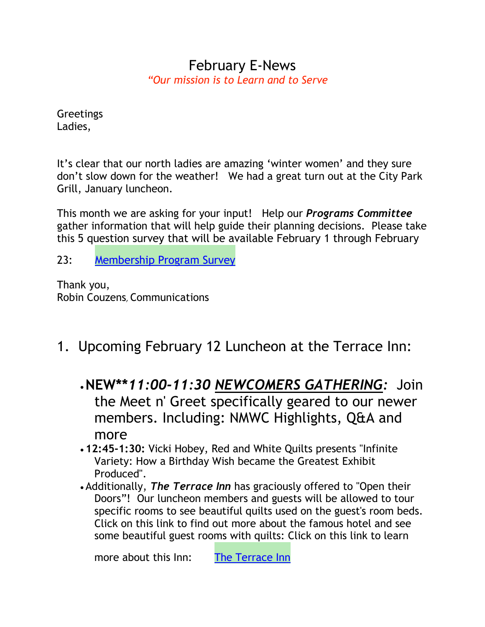## February E-News *"Our mission is to Learn and to Serve*

**Greetings** Ladies,

It's clear that our north ladies are amazing 'winter women' and they sure don't slow down for the weather! We had a great turn out at the City Park Grill, January luncheon.

This month we are asking for your input! Help our *Programs Committee* gather information that will help guide their planning decisions. Please take this 5 question survey that will be available February 1 through February

23: Membership Program Survey

Thank you, Robin Couzens, Communications

- 1. Upcoming February 12 Luncheon at the Terrace Inn:
	- •**NEW\*\****11:00-11:30 NEWCOMERS GATHERING:* Join the Meet n' Greet specifically geared to our newer members. Including: NMWC Highlights, Q&A and more
	- **12:45-1:30:** Vicki Hobey, Red and White Quilts presents "Infinite Variety: How a Birthday Wish became the Greatest Exhibit Produced".
	- Additionally, *The Terrace Inn* has graciously offered to "Open their Doors"! Our luncheon members and guests will be allowed to tour specific rooms to see beautiful quilts used on the guest's room beds. Click on this link to find out more about the famous hotel and see some beautiful guest rooms with quilts: Click on this link to learn

more about this Inn: [The Terrace Inn](https://terrace-inn-and-1911-restaurant.business.site/)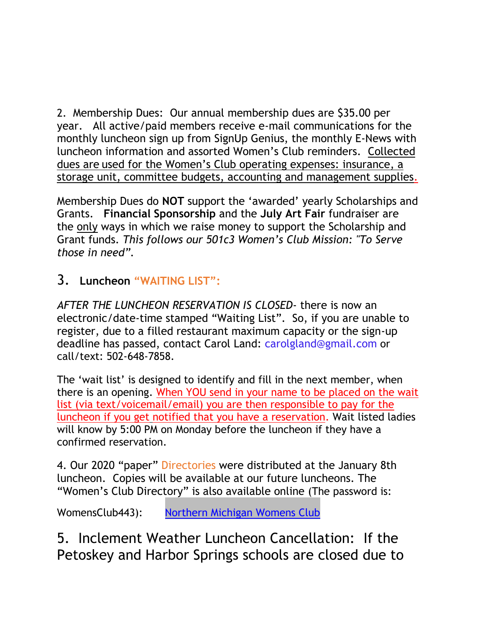2. Membership Dues: Our annual membership dues are \$35.00 per year. All active/paid members receive e-mail communications for the monthly luncheon sign up from SignUp Genius, the monthly E-News with luncheon information and assorted Women's Club reminders. Collected dues are used for the Women's Club operating expenses: insurance, a storage unit, committee budgets, accounting and management supplies.

Membership Dues do **NOT** support the 'awarded' yearly Scholarships and Grants. **Financial Sponsorship** and the **July Art Fair** fundraiser are the only ways in which we raise money to support the Scholarship and Grant funds. *This follows our 501c3 Women's Club Mission: "To Serve those in need".*

## 3. **Luncheon "WAITING LIST":**

*AFTER THE LUNCHEON RESERVATION IS CLOSED*- there is now an electronic/date-time stamped "Waiting List". So, if you are unable to register, due to a filled restaurant maximum capacity or the sign-up deadline has passed, contact Carol Land: carolgland@gmail.com or call/text: 502-648-7858.

The 'wait list' is designed to identify and fill in the next member, when there is an opening. When YOU send in your name to be placed on the wait list (via text/voicemail/email) you are then responsible to pay for the luncheon if you get notified that you have a reservation. Wait listed ladies will know by 5:00 PM on Monday before the luncheon if they have a confirmed reservation.

4. Our 2020 "paper" Directories were distributed at the January 8th luncheon. Copies will be available at our future luncheons. The "Women's Club Directory" is also available online (The password is:

WomensClub443): [Northern Michigan Womens Club](http://www.nmiwomensclub.com/)

5. Inclement Weather Luncheon Cancellation: If the Petoskey and Harbor Springs schools are closed due to